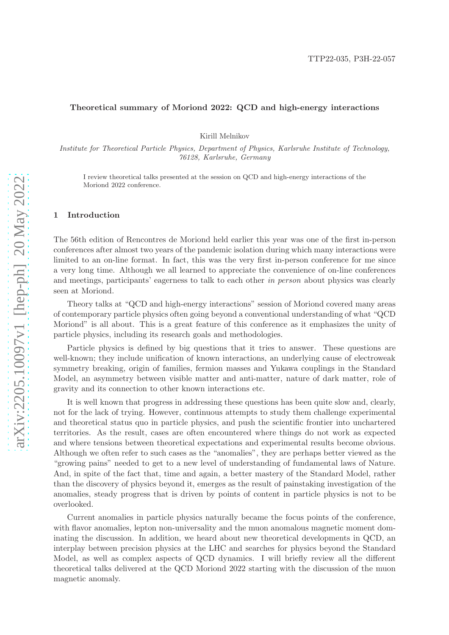### Theoretical summary of Moriond 2022: QCD and high-energy interactions

Kirill Melnikov

Institute for Theoretical Particle Physics, Department of Physics, Karlsruhe Institute of Technology, 76128, Karlsruhe, Germany

I review theoretical talks presented at the session on QCD and high-energy interactions of the Moriond 2022 conference.

#### 1 Introduction

The 56th edition of Rencontres de Moriond held earlier this year was one of the first in-person conferences after almost two years of the pandemic isolation during which many interactions were limited to an on-line format. In fact, this was the very first in-person conference for me since a very long time. Although we all learned to appreciate the convenience of on-line conferences and meetings, participants' eagerness to talk to each other in person about physics was clearly seen at Moriond.

Theory talks at "QCD and high-energy interactions" session of Moriond covered many areas of contemporary particle physics often going beyond a conventional understanding of what "QCD Moriond" is all about. This is a great feature of this conference as it emphasizes the unity of particle physics, including its research goals and methodologies.

Particle physics is defined by big questions that it tries to answer. These questions are well-known; they include unification of known interactions, an underlying cause of electroweak symmetry breaking, origin of families, fermion masses and Yukawa couplings in the Standard Model, an asymmetry between visible matter and anti-matter, nature of dark matter, role of gravity and its connection to other known interactions etc.

It is well known that progress in addressing these questions has been quite slow and, clearly, not for the lack of trying. However, continuous attempts to study them challenge experimental and theoretical status quo in particle physics, and push the scientific frontier into unchartered territories. As the result, cases are often encountered where things do not work as expected and where tensions between theoretical expectations and experimental results become obvious. Although we often refer to such cases as the "anomalies", they are perhaps better viewed as the "growing pains" needed to get to a new level of understanding of fundamental laws of Nature. And, in spite of the fact that, time and again, a better mastery of the Standard Model, rather than the discovery of physics beyond it, emerges as the result of painstaking investigation of the anomalies, steady progress that is driven by points of content in particle physics is not to be overlooked.

Current anomalies in particle physics naturally became the focus points of the conference, with flavor anomalies, lepton non-universality and the muon anomalous magnetic moment dominating the discussion. In addition, we heard about new theoretical developments in QCD, an interplay between precision physics at the LHC and searches for physics beyond the Standard Model, as well as complex aspects of QCD dynamics. I will briefly review all the different theoretical talks delivered at the QCD Moriond 2022 starting with the discussion of the muon magnetic anomaly.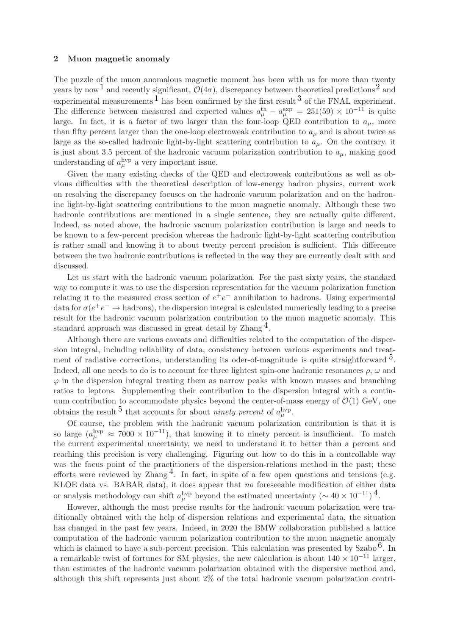## 2 Muon magnetic anomaly

The puzzle of the muon anomalous magnetic moment has been with us for more than twenty years by now<sup>[1](#page-9-0)</sup> and recently significant,  $\mathcal{O}(4\sigma)$ , discrepancy between theoretical predictions<sup>[2](#page-9-1)</sup> and experimental measurements  $\overline{1}$  $\overline{1}$  $\overline{1}$  has been confirmed by the first result  $\overline{3}$  $\overline{3}$  $\overline{3}$  of the FNAL experiment. The difference between measured and expected values  $a_\mu^{\text{th}} - a_\mu^{\text{exp}} = 251(59) \times 10^{-11}$  is quite large. In fact, it is a factor of two larger than the four-loop QED contribution to  $a_{\mu}$ , more than fifty percent larger than the one-loop electroweak contribution to  $a_{\mu}$  and is about twice as large as the so-called hadronic light-by-light scattering contribution to  $a_{\mu}$ . On the contrary, it is just about 3.5 percent of the hadronic vacuum polarization contribution to  $a_{\mu}$ , making good understanding of  $a_{\mu}^{\text{hyp}}$  a very important issue.

Given the many existing checks of the QED and electroweak contributions as well as obvious difficulties with the theoretical description of low-energy hadron physics, current work on resolving the discrepancy focuses on the hadronic vacuum polarization and on the hadroninc light-by-light scattering contributions to the muon magnetic anomaly. Although these two hadronic contributions are mentioned in a single sentence, they are actually quite different. Indeed, as noted above, the hadronic vacuum polarization contribution is large and needs to be known to a few-percent precision whereas the hadronic light-by-light scattering contribution is rather small and knowing it to about twenty percent precision is sufficient. This difference between the two hadronic contributions is reflected in the way they are currently dealt with and discussed.

Let us start with the hadronic vacuum polarization. For the past sixty years, the standard way to compute it was to use the dispersion representation for the vacuum polarization function relating it to the measured cross section of  $e^+e^-$  annihilation to hadrons. Using experimental data for  $\sigma(e^+e^- \to \text{hadrons})$ , the dispersion integral is calculated numerically leading to a precise result for the hadronic vacuum polarization contribution to the muon magnetic anomaly. This standard approach was discussed in great detail by Zhang [4.](#page-9-3)

Although there are various caveats and difficulties related to the computation of the dispersion integral, including reliability of data, consistency between various experiments and treatment of radiative corrections, understanding its oder-of-magnitude is quite straightforward  $5$ . Indeed, all one needs to do is to account for three lightest spin-one hadronic resonances  $\rho$ ,  $\omega$  and  $\varphi$  in the dispersion integral treating them as narrow peaks with known masses and branching ratios to leptons. Supplementing their contribution to the dispersion integral with a continuum contribution to accommodate physics beyond the center-of-mass energy of  $\mathcal{O}(1)$  GeV, one obtains the result  $5$  that accounts for about *ninety percent* of  $a_{\mu}^{\text{hyp}}$ .

Of course, the problem with the hadronic vacuum polarization contribution is that it is so large  $(a_{\mu}^{\text{hyp}} \approx 7000 \times 10^{-11})$ , that knowing it to ninety percent is insufficient. To match the current experimental uncertainty, we need to understand it to better than a percent and reaching this precision is very challenging. Figuring out how to do this in a controllable way was the focus point of the practitioners of the dispersion-relations method in the past; these efforts were reviewed by Zhang<sup>4</sup>. In fact, in spite of a few open questions and tensions (e.g. KLOE data vs. BABAR data), it does appear that no foreseeable modification of either data or analysis methodology can shift  $a_{\mu}^{\text{hyp}}$  beyond the estimated uncertainty  $(\sim 40 \times 10^{-11})^4$ .

However, although the most precise results for the hadronic vacuum polarization were traditionally obtained with the help of dispersion relations and experimental data, the situation has changed in the past few years. Indeed, in 2020 the BMW collaboration published a lattice computation of the hadronic vacuum polarization contribution to the muon magnetic anomaly which is claimed to have a sub-percent precision. This calculation was presented by  $Szabo<sup>6</sup>$ . In a remarkable twist of fortunes for SM physics, the new calculation is about  $140 \times 10^{-11}$  larger, than estimates of the hadronic vacuum polarization obtained with the dispersive method and, although this shift represents just about 2% of the total hadronic vacuum polarization contri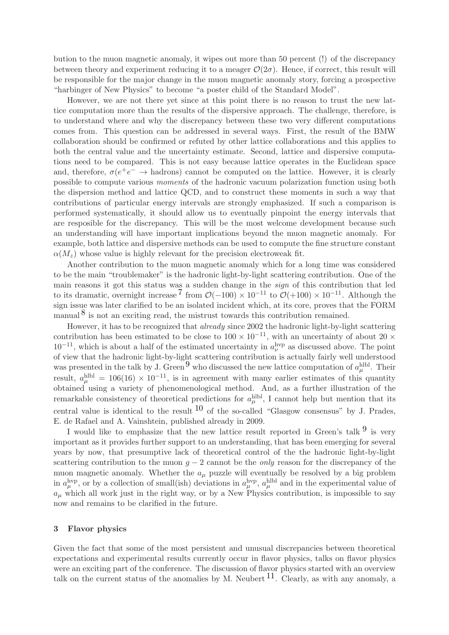bution to the muon magnetic anomaly, it wipes out more than 50 percent (!) of the discrepancy between theory and experiment reducing it to a meager  $\mathcal{O}(2\sigma)$ . Hence, if correct, this result will be responsible for the major change in the muon magnetic anomaly story, forcing a prospective "harbinger of New Physics" to become "a poster child of the Standard Model".

However, we are not there yet since at this point there is no reason to trust the new lattice computation more than the results of the dispersive approach. The challenge, therefore, is to understand where and why the discrepancy between these two very different computations comes from. This question can be addressed in several ways. First, the result of the BMW collaboration should be confirmed or refuted by other lattice collaborations and this applies to both the central value and the uncertainty estimate. Second, lattice and dispersive computations need to be compared. This is not easy because lattice operates in the Euclidean space and, therefore,  $\sigma(e^+e^- \to \text{hadrons})$  cannot be computed on the lattice. However, it is clearly possible to compute various moments of the hadronic vacuum polarization function using both the dispersion method and lattice QCD, and to construct these moments in such a way that contributions of particular energy intervals are strongly emphasized. If such a comparison is performed systematically, it should allow us to eventually pinpoint the energy intervals that are resposible for the discrepancy. This will be the most welcome development because such an understanding will have important implications beyond the muon magnetic anomaly. For example, both lattice and dispersive methods can be used to compute the fine structure constant  $\alpha(M_z)$  whose value is highly relevant for the precision electroweak fit.

Another contribution to the muon magnetic anomaly which for a long time was considered to be the main "troublemaker" is the hadronic light-by-light scattering contribution. One of the main reasons it got this status was a sudden change in the sign of this contribution that led to its dramatic, overnight increase  $\frac{7}{1000}$  $\frac{7}{1000}$  $\frac{7}{1000}$  from  $\mathcal{O}(-100) \times 10^{-11}$  to  $\mathcal{O}(+100) \times 10^{-11}$ . Although the sign issue was later clarified to be an isolated incident which, at its core, proves that the FORM manual  $\delta$  is not an exciting read, the mistrust towards this contribution remained.

However, it has to be recognized that *already* since 2002 the hadronic light-by-light scattering contribution has been estimated to be close to  $100 \times 10^{-11}$ , with an uncertainty of about 20  $\times$  $10^{-11}$ , which is about a half of the estimated uncertainty in  $a_{\nu}^{\text{hyp}}$  as discussed above. The point of view that the hadronic light-by-light scattering contribution is actually fairly well understood was presented in the talk by J. Green<sup>[9](#page-9-8)</sup> who discussed the new lattice computation of  $a_{\mu}^{\text{hlbl}}$ . Their result,  $a_{\mu}^{\text{hlbl}} = 106(16) \times 10^{-11}$ , is in agreement with many earlier estimates of this quantity obtained using a variety of phenomenological method. And, as a further illustration of the remarkable consistency of theoretical predictions for  $a_{\mu}^{\text{hlbl}}$ , I cannot help but mention that its central value is identical to the result  $10$  of the so-called "Glasgow consensus" by J. Prades, E. de Rafael and A. Vainshtein, published already in 2009.

I would like to emphasize that the new lattice result reported in Green's talk  $9$  is very important as it provides further support to an understanding, that has been emerging for several years by now, that presumptive lack of theoretical control of the the hadronic light-by-light scattering contribution to the muon  $q - 2$  cannot be the *only* reason for the discrepancy of the muon magnetic anomaly. Whether the  $a_{\mu}$  puzzle will eventually be resolved by a big problem in  $a_\mu^{\text{hyp}}$ , or by a collection of small(ish) deviations in  $a_\mu^{\text{hyp}}$ ,  $a_\mu^{\text{hlbl}}$  and in the experimental value of  $a_{\mu}$  which all work just in the right way, or by a New Physics contribution, is impossible to say now and remains to be clarified in the future.

## 3 Flavor physics

Given the fact that some of the most persistent and unusual discrepancies between theoretical expectations and experimental results currently occur in flavor physics, talks on flavor physics were an exciting part of the conference. The discussion of flavor physics started with an overview talk on the current status of the anomalies by M. Neubert  $^{11}$ . Clearly, as with any anomaly, a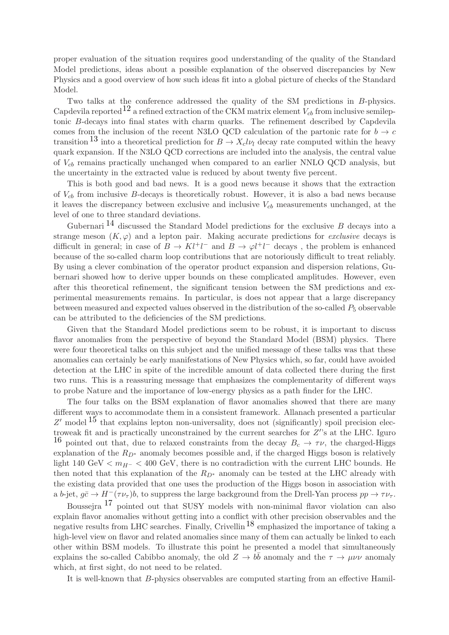proper evaluation of the situation requires good understanding of the quality of the Standard Model predictions, ideas about a possible explanation of the observed discrepancies by New Physics and a good overview of how such ideas fit into a global picture of checks of the Standard Model.

Two talks at the conference addressed the quality of the SM predictions in B-physics. Capdevila reported<sup>[12](#page-9-11)</sup> a refined extraction of the CKM matrix element  $V_{cb}$  from inclusive semileptonic B-decays into final states with charm quarks. The refinement described by Capdevila comes from the inclusion of the recent N3LO QCD calculation of the partonic rate for  $b \to c$ transition <sup>[13](#page-9-12)</sup> into a theoretical prediction for  $B \to X_c l \nu_l$  decay rate computed within the heavy quark expansion. If the N3LO QCD corrections are included into the analysis, the central value of  $V_{cb}$  remains practically unchanged when compared to an earlier NNLO QCD analysis, but the uncertainty in the extracted value is reduced by about twenty five percent.

This is both good and bad news. It is a good news because it shows that the extraction of  $V_{cb}$  from inclusive B-decays is theoretically robust. However, it is also a bad news because it leaves the discrepancy between exclusive and inclusive  $V_{cb}$  measurements unchanged, at the level of one to three standard deviations.

Gubernari  $^{14}$  $^{14}$  $^{14}$  discussed the Standard Model predictions for the exclusive B decays into a strange meson  $(K, \varphi)$  and a lepton pair. Making accurate predictions for *exclusive* decays is difficult in general; in case of  $B \to Kl^+l^-$  and  $B \to \varphi l^+l^-$  decays, the problem is enhanced because of the so-called charm loop contributions that are notoriously difficult to treat reliably. By using a clever combination of the operator product expansion and dispersion relations, Gubernari showed how to derive upper bounds on these complicated amplitudes. However, even after this theoretical refinement, the significant tension between the SM predictions and experimental measurements remains. In particular, is does not appear that a large discrepancy between measured and expected values observed in the distribution of the so-called  $P_5$  observable can be attributed to the deficiencies of the SM predictions.

Given that the Standard Model predictions seem to be robust, it is important to discuss flavor anomalies from the perspective of beyond the Standard Model (BSM) physics. There were four theoretical talks on this subject and the unified message of these talks was that these anomalies can certainly be early manifestations of New Physics which, so far, could have avoided detection at the LHC in spite of the incredible amount of data collected there during the first two runs. This is a reassuring message that emphasizes the complementarity of different ways to probe Nature and the importance of low-energy physics as a path finder for the LHC.

The four talks on the BSM explanation of flavor anomalies showed that there are many different ways to accommodate them in a consistent framework. Allanach presented a particular Z' model  $15$  that explains lepton non-universality, does not (significantly) spoil precision electroweak fit and is practically unconstrained by the current searches for  $Z^{\prime}$ 's at the LHC. Iguro <sup>[16](#page-9-15)</sup> pointed out that, due to relaxed constraints from the decay  $B_c \rightarrow \tau \nu$ , the charged-Higgs explanation of the  $R_{D^*}$  anomaly becomes possible and, if the charged Higgs boson is relatively light 140 GeV  $\langle m_{H^-} \rangle$  < 400 GeV, there is no contradiction with the current LHC bounds. He then noted that this explanation of the  $R_{D^*}$  anomaly can be tested at the LHC already with the existing data provided that one uses the production of the Higgs boson in association with a b-jet,  $q\bar{c} \to H^-(\tau\nu_\tau)b$ , to suppress the large background from the Drell-Yan process  $pp \to \tau\nu_\tau$ .

Boussejra [17](#page-9-16) pointed out that SUSY models with non-minimal flavor violation can also explain flavor anomalies without getting into a conflict with other precision observables and the negative results from LHC searches. Finally, Crivellin<sup>[18](#page-9-17)</sup> emphasized the importance of taking a high-level view on flavor and related anomalies since many of them can actually be linked to each other within BSM models. To illustrate this point he presented a model that simultaneously explains the so-called Cabibbo anomaly, the old  $Z \to b\bar{b}$  anomaly and the  $\tau \to \mu\nu\nu$  anomaly which, at first sight, do not need to be related.

It is well-known that B-physics observables are computed starting from an effective Hamil-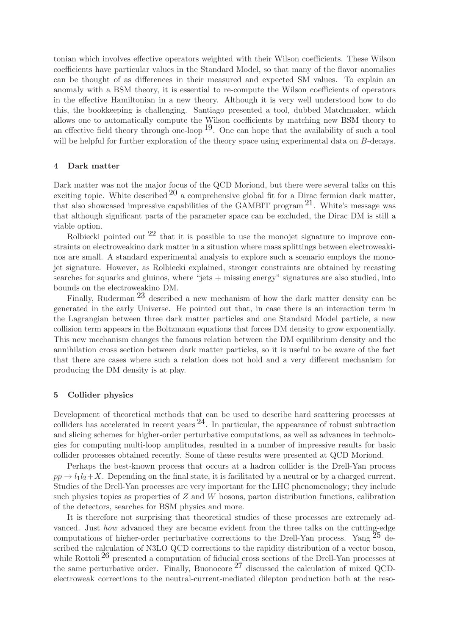tonian which involves effective operators weighted with their Wilson coefficients. These Wilson coefficients have particular values in the Standard Model, so that many of the flavor anomalies can be thought of as differences in their measured and expected SM values. To explain an anomaly with a BSM theory, it is essential to re-compute the Wilson coefficients of operators in the effective Hamiltonian in a new theory. Although it is very well understood how to do this, the bookkeeping is challenging. Santiago presented a tool, dubbed Matchmaker, which allows one to automatically compute the Wilson coefficients by matching new BSM theory to an effective field theory through one-loop  $19$ . One can hope that the availability of such a tool will be helpful for further exploration of the theory space using experimental data on B-decays.

## 4 Dark matter

Dark matter was not the major focus of the QCD Moriond, but there were several talks on this exciting topic. White described  $20$  a comprehensive global fit for a Dirac fermion dark matter, that also showcased impressive capabilities of the GAMBIT program  $21$ . White's message was that although significant parts of the parameter space can be excluded, the Dirac DM is still a viable option.

Rolbiecki pointed out  $2^2$  that it is possible to use the monojet signature to improve constraints on electroweakino dark matter in a situation where mass splittings between electroweakinos are small. A standard experimental analysis to explore such a scenario employs the monojet signature. However, as Rolbiecki explained, stronger constraints are obtained by recasting searches for squarks and gluinos, where "jets + missing energy" signatures are also studied, into bounds on the electroweakino DM.

Finally, Ruderman<sup>[23](#page-9-22)</sup> described a new mechanism of how the dark matter density can be generated in the early Universe. He pointed out that, in case there is an interaction term in the Lagrangian between three dark matter particles and one Standard Model particle, a new collision term appears in the Boltzmann equations that forces DM density to grow exponentially. This new mechanism changes the famous relation between the DM equilibrium density and the annihilation cross section between dark matter particles, so it is useful to be aware of the fact that there are cases where such a relation does not hold and a very different mechanism for producing the DM density is at play.

## 5 Collider physics

Development of theoretical methods that can be used to describe hard scattering processes at colliders has accelerated in recent years  $^{24}$ . In particular, the appearance of robust subtraction and slicing schemes for higher-order perturbative computations, as well as advances in technologies for computing multi-loop amplitudes, resulted in a number of impressive results for basic collider processes obtained recently. Some of these results were presented at QCD Moriond.

Perhaps the best-known process that occurs at a hadron collider is the Drell-Yan process  $pp \rightarrow l_1l_2+X$ . Depending on the final state, it is facilitated by a neutral or by a charged current. Studies of the Drell-Yan processes are very important for the LHC phenomenology; they include such physics topics as properties of  $Z$  and  $W$  bosons, parton distribution functions, calibration of the detectors, searches for BSM physics and more.

It is therefore not surprising that theoretical studies of these processes are extremely advanced. Just how advanced they are became evident from the three talks on the cutting-edge computations of higher-order perturbative corrections to the Drell-Yan process. Yang  $^{25}$  $^{25}$  $^{25}$  described the calculation of N3LO QCD corrections to the rapidity distribution of a vector boson, while Rottoli<sup>[26](#page-9-25)</sup> presented a computation of fiducial cross sections of the Drell-Yan processes at the same perturbative order. Finally, Buonocore  $27$  discussed the calculation of mixed QCDelectroweak corrections to the neutral-current-mediated dilepton production both at the reso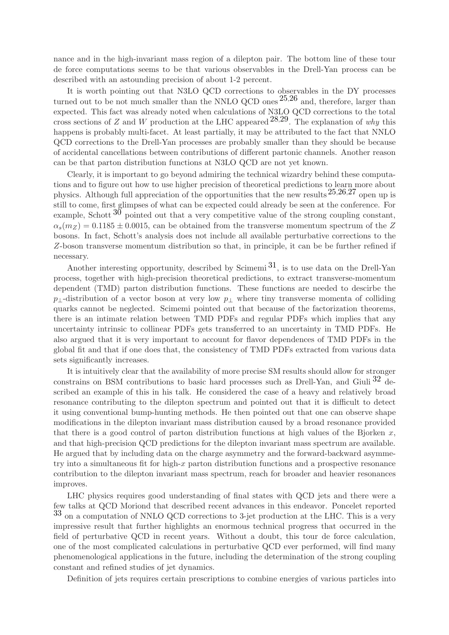nance and in the high-invariant mass region of a dilepton pair. The bottom line of these tour de force computations seems to be that various observables in the Drell-Yan process can be described with an astounding precision of about 1-2 percent.

It is worth pointing out that N3LO QCD corrections to observables in the DY processes turned out to be not much smaller than the NNLO QCD ones  $25,26$  $25,26$  $25,26$  and, therefore, larger than expected. This fact was already noted when calculations of N3LO QCD corrections to the total cross sections of Z and W production at the LHC appeared  $^{28,29}$  $^{28,29}$  $^{28,29}$ . The explanation of why this happens is probably multi-facet. At least partially, it may be attributed to the fact that NNLO QCD corrections to the Drell-Yan processes are probably smaller than they should be because of accidental cancellations between contributions of different partonic channels. Another reason can be that parton distribution functions at N3LO QCD are not yet known.

Clearly, it is important to go beyond admiring the technical wizardry behind these computations and to figure out how to use higher precision of theoretical predictions to learn more about physics. Although full appreciation of the opportunities that the new results  $25,26,27$  $25,26,27$  $25,26,27$  $25,26,27$  $25,26,27$  open up is still to come, first glimpses of what can be expected could already be seen at the conference. For example, Schott  $30$  pointed out that a very competitive value of the strong coupling constant,  $\alpha_s(m_Z) = 0.1185 \pm 0.0015$ , can be obtained from the transverse momentum spectrum of the Z bosons. In fact, Schott's analysis does not include all available perturbative corrections to the Z-boson transverse momentum distribution so that, in principle, it can be be further refined if necessary.

Another interesting opportunity, described by Scimemi  $31$ , is to use data on the Drell-Yan process, together with high-precision theoretical predictions, to extract transverse-momentum dependent (TMD) parton distribution functions. These functions are needed to descirbe the  $p_{\perp}$ -distribution of a vector boson at very low  $p_{\perp}$  where tiny transverse momenta of colliding quarks cannot be neglected. Scimemi pointed out that because of the factorization theorems, there is an intimate relation between TMD PDFs and regular PDFs which implies that any uncertainty intrinsic to collinear PDFs gets transferred to an uncertainty in TMD PDFs. He also argued that it is very important to account for flavor dependences of TMD PDFs in the global fit and that if one does that, the consistency of TMD PDFs extracted from various data sets significantly increases.

It is intuitively clear that the availability of more precise SM results should allow for stronger constrains on BSM contributions to basic hard processes such as Drell-Yan, and Giuli  $32$  described an example of this in his talk. He considered the case of a heavy and relatively broad resonance contributing to the dilepton spectrum and pointed out that it is difficult to detect it using conventional bump-hunting methods. He then pointed out that one can observe shape modifications in the dilepton invariant mass distribution caused by a broad resonance provided that there is a good control of parton distribution functions at high values of the Bjorken  $x$ , and that high-precision QCD predictions for the dilepton invariant mass spectrum are available. He argued that by including data on the charge asymmetry and the forward-backward asymmetry into a simultaneous fit for high-x parton distribution functions and a prospective resonance contribution to the dilepton invariant mass spectrum, reach for broader and heavier resonances improves.

LHC physics requires good understanding of final states with QCD jets and there were a few talks at QCD Moriond that described recent advances in this endeavor. Poncelet reported  $33$  on a computation of NNLO QCD corrections to 3-jet production at the LHC. This is a very impressive result that further highlights an enormous technical progress that occurred in the field of perturbative QCD in recent years. Without a doubt, this tour de force calculation, one of the most complicated calculations in perturbative QCD ever performed, will find many phenomenological applications in the future, including the determination of the strong coupling constant and refined studies of jet dynamics.

Definition of jets requires certain prescriptions to combine energies of various particles into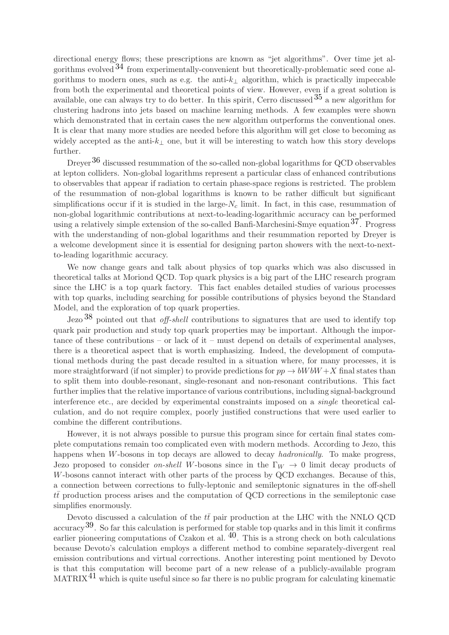directional energy flows; these prescriptions are known as "jet algorithms". Over time jet algorithms evolved  $34$  from experimentally-convenient but theoretically-problematic seed cone algorithms to modern ones, such as e.g. the anti- $k_{\perp}$  algorithm, which is practically impeccable from both the experimental and theoretical points of view. However, even if a great solution is available, one can always try to do better. In this spirit, Cerro discussed  $35$  a new algorithm for clustering hadrons into jets based on machine learning methods. A few examples were shown which demonstrated that in certain cases the new algorithm outperforms the conventional ones. It is clear that many more studies are needed before this algorithm will get close to becoming as widely accepted as the anti- $k_{\perp}$  one, but it will be interesting to watch how this story develops further.

Dreyer<sup>[36](#page-10-4)</sup> discussed resummation of the so-called non-global logarithms for QCD observables at lepton colliders. Non-global logarithms represent a particular class of enhanced contributions to observables that appear if radiation to certain phase-space regions is restricted. The problem of the resummation of non-global logarithms is known to be rather difficult but significant simplifications occur if it is studied in the large- $N_c$  limit. In fact, in this case, resummation of non-global logarithmic contributions at next-to-leading-logarithmic accuracy can be performed using a relatively simple extension of the so-called Banfi-Marchesini-Smye equation  $37$ . Progress with the understanding of non-global logarithms and their resummation reported by Dreyer is a welcome development since it is essential for designing parton showers with the next-to-nextto-leading logarithmic accuracy.

We now change gears and talk about physics of top quarks which was also discussed in theoretical talks at Moriond QCD. Top quark physics is a big part of the LHC research program since the LHC is a top quark factory. This fact enables detailed studies of various processes with top quarks, including searching for possible contributions of physics beyond the Standard Model, and the exploration of top quark properties.

Jezo  $38$  pointed out that *off-shell* contributions to signatures that are used to identify top quark pair production and study top quark properties may be important. Although the importance of these contributions – or lack of it – must depend on details of experimental analyses, there is a theoretical aspect that is worth emphasizing. Indeed, the development of computational methods during the past decade resulted in a situation where, for many processes, it is more straightforward (if not simpler) to provide predictions for  $pp \rightarrow bWbW + X$  final states than to split them into double-resonant, single-resonant and non-resonant contributions. This fact further implies that the relative importance of various contributions, including signal-background interference etc., are decided by experimental constraints imposed on a single theoretical calculation, and do not require complex, poorly justified constructions that were used earlier to combine the different contributions.

However, it is not always possible to pursue this program since for certain final states complete computations remain too complicated even with modern methods. According to Jezo, this happens when W-bosons in top decays are allowed to decay *hadronically*. To make progress, Jezo proposed to consider on-shell W-bosons since in the  $\Gamma_W \to 0$  limit decay products of W-bosons cannot interact with other parts of the process by QCD exchanges. Because of this, a connection between corrections to fully-leptonic and semileptonic signatures in the off-shell  $t\bar{t}$  production process arises and the computation of QCD corrections in the semileptonic case simplifies enormously.

Devoto discussed a calculation of the  $t\bar{t}$  pair production at the LHC with the NNLO QCD  $\arccos 39$ . So far this calculation is performed for stable top quarks and in this limit it confirms earlier pioneering computations of Czakon et al.  $40$ . This is a strong check on both calculations because Devoto's calculation employs a different method to combine separately-divergent real emission contributions and virtual corrections. Another interesting point mentioned by Devoto is that this computation will become part of a new release of a publicly-available program  $MATRIX<sup>41</sup>$  $MATRIX<sup>41</sup>$  $MATRIX<sup>41</sup>$  which is quite useful since so far there is no public program for calculating kinematic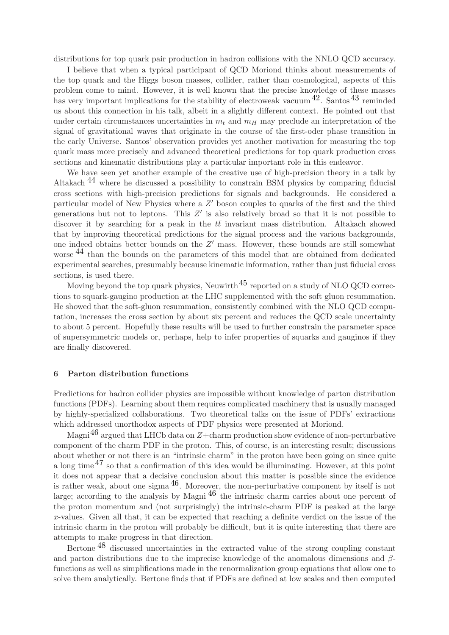distributions for top quark pair production in hadron collisions with the NNLO QCD accuracy.

I believe that when a typical participant of QCD Moriond thinks about measurements of the top quark and the Higgs boson masses, collider, rather than cosmological, aspects of this problem come to mind. However, it is well known that the precise knowledge of these masses has very important implications for the stability of electroweak vacuum  $^{42}$ . Santos  $^{43}$  $^{43}$  $^{43}$  reminded us about this connection in his talk, albeit in a slightly different context. He pointed out that under certain circumstances uncertainties in  $m_t$  and  $m_H$  may preclude an interpretation of the signal of gravitational waves that originate in the course of the first-oder phase transition in the early Universe. Santos' observation provides yet another motivation for measuring the top quark mass more precisely and advanced theoretical predictions for top quark production cross sections and kinematic distributions play a particular important role in this endeavor.

We have seen yet another example of the creative use of high-precision theory in a talk by Altakach [44](#page-10-12) where he discussed a possibility to constrain BSM physics by comparing fiducial cross sections with high-precision predictions for signals and backgrounds. He considered a particular model of New Physics where a Z' boson couples to quarks of the first and the third generations but not to leptons. This  $Z'$  is also relatively broad so that it is not possible to discover it by searching for a peak in the  $t\bar{t}$  invariant mass distribution. Altakach showed that by improving theoretical predictions for the signal process and the various backgrounds, one indeed obtains better bounds on the Z ′ mass. However, these bounds are still somewhat worse <sup>[44](#page-10-12)</sup> than the bounds on the parameters of this model that are obtained from dedicated experimental searches, presumably because kinematic information, rather than just fiducial cross sections, is used there.

Moving beyond the top quark physics, Neuwirth<sup>[45](#page-10-13)</sup> reported on a study of NLO QCD corrections to squark-gaugino production at the LHC supplemented with the soft gluon resummation. He showed that the soft-gluon resummation, consistently combined with the NLO QCD computation, increases the cross section by about six percent and reduces the QCD scale uncertainty to about 5 percent. Hopefully these results will be used to further constrain the parameter space of supersymmetric models or, perhaps, help to infer properties of squarks and gauginos if they are finally discovered.

#### 6 Parton distribution functions

Predictions for hadron collider physics are impossible without knowledge of parton distribution functions (PDFs). Learning about them requires complicated machinery that is usually managed by highly-specialized collaborations. Two theoretical talks on the issue of PDFs' extractions which addressed unorthodox aspects of PDF physics were presented at Moriond.

Magni<sup>[46](#page-10-14)</sup> argued that LHCb data on  $Z+\text{charm production}$  show evidence of non-perturbative component of the charm PDF in the proton. This, of course, is an interesting result; discussions about whether or not there is an "intrinsic charm" in the proton have been going on since quite a long time  $47$  so that a confirmation of this idea would be illuminating. However, at this point it does not appear that a decisive conclusion about this matter is possible since the evidence is rather weak, about one sigma  $^{46}$ . Moreover, the non-perturbative component by itself is not large; according to the analysis by Magni  $^{46}$  $^{46}$  $^{46}$  the intrinsic charm carries about one percent of the proton momentum and (not surprisingly) the intrinsic-charm PDF is peaked at the large  $x$ -values. Given all that, it can be expected that reaching a definite verdict on the issue of the intrinsic charm in the proton will probably be difficult, but it is quite interesting that there are attempts to make progress in that direction.

Bertone [48](#page-10-16) discussed uncertainties in the extracted value of the strong coupling constant and parton distributions due to the imprecise knowledge of the anomalous dimensions and  $\beta$ functions as well as simplifications made in the renormalization group equations that allow one to solve them analytically. Bertone finds that if PDFs are defined at low scales and then computed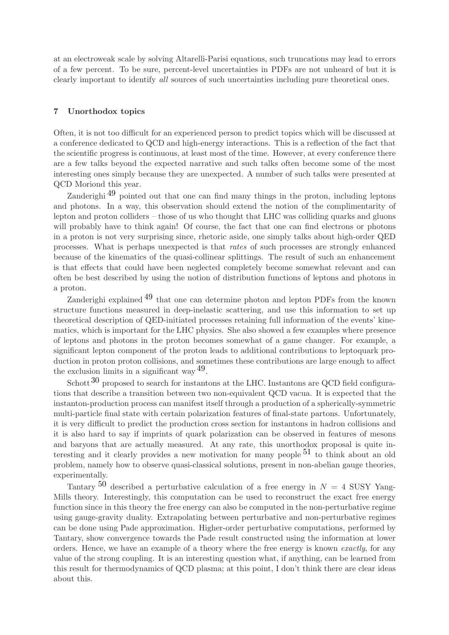at an electroweak scale by solving Altarelli-Parisi equations, such truncations may lead to errors of a few percent. To be sure, percent-level uncertainties in PDFs are not unheard of but it is clearly important to identify all sources of such uncertainties including pure theoretical ones.

## 7 Unorthodox topics

Often, it is not too difficult for an experienced person to predict topics which will be discussed at a conference dedicated to QCD and high-energy interactions. This is a reflection of the fact that the scientific progress is continuous, at least most of the time. However, at every conference there are a few talks beyond the expected narrative and such talks often become some of the most interesting ones simply because they are unexpected. A number of such talks were presented at QCD Moriond this year.

Zanderighi  $^{49}$  $^{49}$  $^{49}$  pointed out that one can find many things in the proton, including leptons and photons. In a way, this observation should extend the notion of the complimentarity of lepton and proton colliders – those of us who thought that LHC was colliding quarks and gluons will probably have to think again! Of course, the fact that one can find electrons or photons in a proton is not very surprising since, rhetoric aside, one simply talks about high-order QED processes. What is perhaps unexpected is that rates of such processes are strongly enhanced because of the kinematics of the quasi-collinear splittings. The result of such an enhancement is that effects that could have been neglected completely become somewhat relevant and can often be best described by using the notion of distribution functions of leptons and photons in a proton.

Zanderighi explained [49](#page-10-17) that one can determine photon and lepton PDFs from the known structure functions measured in deep-inelastic scattering, and use this information to set up theoretical description of QED-initiated processes retaining full information of the events' kinematics, which is important for the LHC physics. She also showed a few examples where presence of leptons and photons in the proton becomes somewhat of a game changer. For example, a significant lepton component of the proton leads to additional contributions to leptoquark production in proton proton collisions, and sometimes these contributions are large enough to affect the exclusion limits in a significant way [49.](#page-10-17)

Schott  $30$  proposed to search for instantons at the LHC. Instantons are QCD field configurations that describe a transition between two non-equivalent QCD vacua. It is expected that the instanton-production process can manifest itself through a production of a spherically-symmetric multi-particle final state with certain polarization features of final-state partons. Unfortunately, it is very difficult to predict the production cross section for instantons in hadron collisions and it is also hard to say if imprints of quark polarization can be observed in features of mesons and baryons that are actually measured. At any rate, this unorthodox proposal is quite interesting and it clearly provides a new motivation for many people  $51$  to think about an old problem, namely how to observe quasi-classical solutions, present in non-abelian gauge theories, experimentally.

Tantary  $50$  described a perturbative calculation of a free energy in  $N = 4$  SUSY Yang-Mills theory. Interestingly, this computation can be used to reconstruct the exact free energy function since in this theory the free energy can also be computed in the non-perturbative regime using gauge-gravity duality. Extrapolating between perturbative and non-perturbative regimes can be done using Pade approximation. Higher-order perturbative computations, performed by Tantary, show convergence towards the Pade result constructed using the information at lower orders. Hence, we have an example of a theory where the free energy is known exactly, for any value of the strong coupling. It is an interesting question what, if anything, can be learned from this result for thermodynamics of QCD plasma; at this point, I don't think there are clear ideas about this.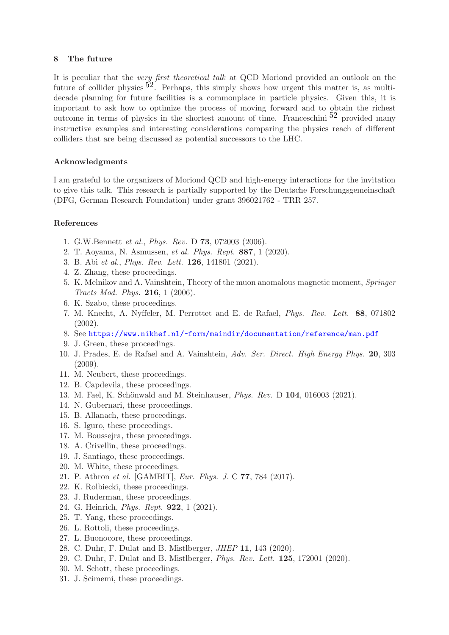## 8 The future

It is peculiar that the very first theoretical talk at QCD Moriond provided an outlook on the future of collider physics  $52$ . Perhaps, this simply shows how urgent this matter is, as multidecade planning for future facilities is a commonplace in particle physics. Given this, it is important to ask how to optimize the process of moving forward and to obtain the richest outcome in terms of physics in the shortest amount of time. Franceschini  $52$  provided many instructive examples and interesting considerations comparing the physics reach of different colliders that are being discussed as potential successors to the LHC.

# Acknowledgments

I am grateful to the organizers of Moriond QCD and high-energy interactions for the invitation to give this talk. This research is partially supported by the Deutsche Forschungsgemeinschaft (DFG, German Research Foundation) under grant 396021762 - TRR 257.

# <span id="page-9-0"></span>References

- <span id="page-9-1"></span>1. G.W.Bennett et al., Phys. Rev. D 73, 072003 (2006).
- <span id="page-9-2"></span>2. T. Aoyama, N. Asmussen, et al. Phys. Rept. 887, 1 (2020).
- <span id="page-9-3"></span>3. B. Abi et al., Phys. Rev. Lett. 126, 141801 (2021).
- <span id="page-9-4"></span>4. Z. Zhang, these proceedings.
- 5. K. Melnikov and A. Vainshtein, Theory of the muon anomalous magnetic moment, Springer Tracts Mod. Phys. 216, 1 (2006).
- <span id="page-9-6"></span><span id="page-9-5"></span>6. K. Szabo, these proceedings.
- 7. M. Knecht, A. Nyffeler, M. Perrottet and E. de Rafael, Phys. Rev. Lett. 88, 071802 (2002).
- <span id="page-9-8"></span><span id="page-9-7"></span>8. See <https://www.nikhef.nl/~form/maindir/documentation/reference/man.pdf>
- <span id="page-9-9"></span>9. J. Green, these proceedings.
- 10. J. Prades, E. de Rafael and A. Vainshtein, Adv. Ser. Direct. High Energy Phys. 20, 303 (2009).
- <span id="page-9-11"></span><span id="page-9-10"></span>11. M. Neubert, these proceedings.
- <span id="page-9-12"></span>12. B. Capdevila, these proceedings.
- <span id="page-9-13"></span>13. M. Fael, K. Schönwald and M. Steinhauser, *Phys. Rev.* D **104**, 016003 (2021).
- <span id="page-9-14"></span>14. N. Gubernari, these proceedings.
- <span id="page-9-15"></span>15. B. Allanach, these proceedings.
- <span id="page-9-16"></span>16. S. Iguro, these proceedings.
- <span id="page-9-17"></span>17. M. Boussejra, these proceedings.
- <span id="page-9-18"></span>18. A. Crivellin, these proceedings.
- <span id="page-9-19"></span>19. J. Santiago, these proceedings.
- <span id="page-9-20"></span>20. M. White, these proceedings.
- <span id="page-9-21"></span>21. P. Athron et al. [GAMBIT], Eur. Phys. J. C 77, 784 (2017).
- <span id="page-9-22"></span>22. K. Rolbiecki, these proceedings.
- <span id="page-9-23"></span>23. J. Ruderman, these proceedings.
- <span id="page-9-24"></span>24. G. Heinrich, Phys. Rept. 922, 1 (2021).
- <span id="page-9-25"></span>25. T. Yang, these proceedings.
- <span id="page-9-26"></span>26. L. Rottoli, these proceedings.
- <span id="page-9-27"></span>27. L. Buonocore, these proceedings.
- <span id="page-9-28"></span>28. C. Duhr, F. Dulat and B. Mistlberger, JHEP 11, 143 (2020).
- <span id="page-9-29"></span>29. C. Duhr, F. Dulat and B. Mistlberger, Phys. Rev. Lett. 125, 172001 (2020).
- <span id="page-9-30"></span>30. M. Schott, these proceedings.
- 31. J. Scimemi, these proceedings.